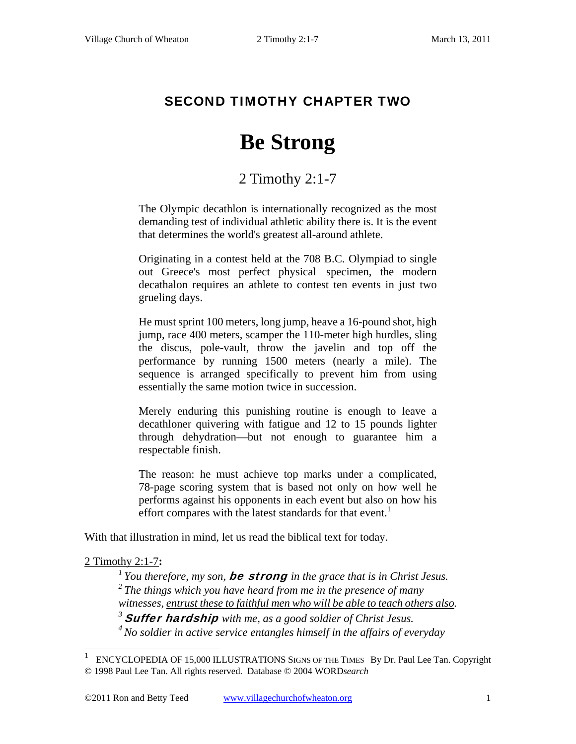## SECOND TIMOTHY CHAPTER TWO

# **Be Strong**

# 2 Timothy 2:1-7

The Olympic decathlon is internationally recognized as the most demanding test of individual athletic ability there is. It is the event that determines the world's greatest all-around athlete.

Originating in a contest held at the 708 B.C. Olympiad to single out Greece's most perfect physical specimen, the modern decathalon requires an athlete to contest ten events in just two grueling days.

He must sprint 100 meters, long jump, heave a 16-pound shot, high jump, race 400 meters, scamper the 110-meter high hurdles, sling the discus, pole-vault, throw the javelin and top off the performance by running 1500 meters (nearly a mile). The sequence is arranged specifically to prevent him from using essentially the same motion twice in succession.

Merely enduring this punishing routine is enough to leave a decathloner quivering with fatigue and 12 to 15 pounds lighter through dehydration—but not enough to guarantee him a respectable finish.

The reason: he must achieve top marks under a complicated, 78-page scoring system that is based not only on how well he performs against his opponents in each event but also on how his effort compares with the latest standards for that event.<sup>1</sup>

With that illustration in mind, let us read the biblical text for today.

#### 2 Timothy 2:1-7**:**

 $\overline{a}$ 

*1 You therefore, my son,* be strong *in the grace that is in Christ Jesus. 2 The things which you have heard from me in the presence of many witnesses, entrust these to faithful men who will be able to teach others also.* 

*<sup>3</sup>*Suffer hardship *with me, as a good soldier of Christ Jesus.* 

*4 No soldier in active service entangles himself in the affairs of everyday* 

<sup>1</sup> ENCYCLOPEDIA OF 15,000 ILLUSTRATIONS SIGNS OF THE TIMES By Dr. Paul Lee Tan. Copyright © 1998 Paul Lee Tan. All rights reserved. Database © 2004 WORD*search*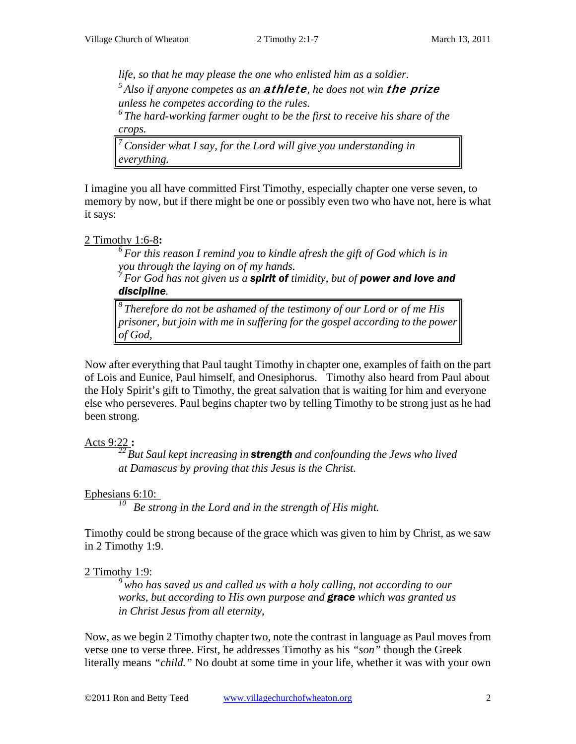*life, so that he may please the one who enlisted him as a soldier. 5 Also if anyone competes as an* athlete*, he does not win* the prize *unless he competes according to the rules.* 

*6 The hard-working farmer ought to be the first to receive his share of the crops.* 

*7 Consider what I say, for the Lord will give you understanding in everything.* 

I imagine you all have committed First Timothy, especially chapter one verse seven, to memory by now, but if there might be one or possibly even two who have not, here is what it says:

#### 2 Timothy 1:6-8**:**

*6 For this reason I remind you to kindle afresh the gift of God which is in you through the laying on of my hands.* 

*7 For God has not given us a spirit of timidity, but of power and love and discipline.* 

*8 Therefore do not be ashamed of the testimony of our Lord or of me His prisoner, but join with me in suffering for the gospel according to the power of God,* 

Now after everything that Paul taught Timothy in chapter one, examples of faith on the part of Lois and Eunice, Paul himself, and Onesiphorus. Timothy also heard from Paul about the Holy Spirit's gift to Timothy, the great salvation that is waiting for him and everyone else who perseveres. Paul begins chapter two by telling Timothy to be strong just as he had been strong.

### Acts 9:22 **:**

*22 But Saul kept increasing in strength and confounding the Jews who lived at Damascus by proving that this Jesus is the Christ.* 

### Ephesians 6:10:

*10 Be strong in the Lord and in the strength of His might.* 

Timothy could be strong because of the grace which was given to him by Christ, as we saw in 2 Timothy 1:9.

### 2 Timothy 1:9:

*9 who has saved us and called us with a holy calling, not according to our works, but according to His own purpose and grace which was granted us in Christ Jesus from all eternity,* 

Now, as we begin 2 Timothy chapter two, note the contrast in language as Paul moves from verse one to verse three. First, he addresses Timothy as his *"son"* though the Greek literally means *"child."* No doubt at some time in your life, whether it was with your own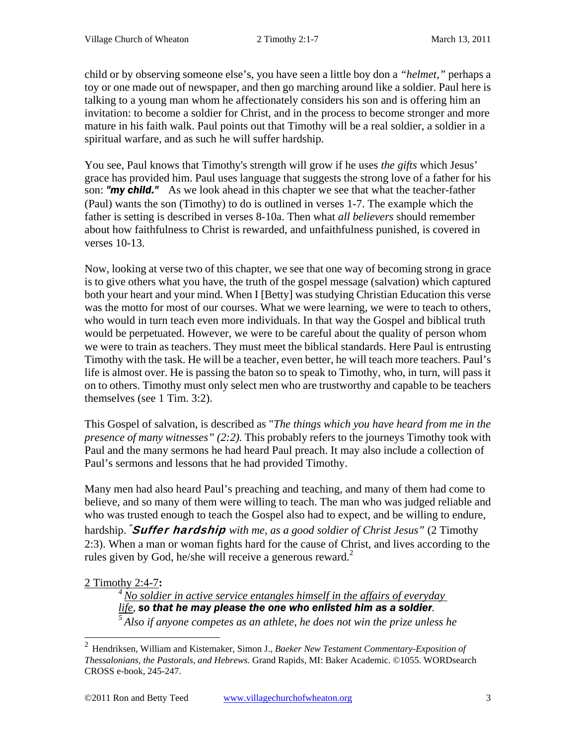child or by observing someone else's, you have seen a little boy don a *"helmet,"* perhaps a toy or one made out of newspaper, and then go marching around like a soldier. Paul here is talking to a young man whom he affectionately considers his son and is offering him an invitation: to become a soldier for Christ, and in the process to become stronger and more mature in his faith walk. Paul points out that Timothy will be a real soldier, a soldier in a spiritual warfare, and as such he will suffer hardship.

You see, Paul knows that Timothy's strength will grow if he uses *the gifts* which Jesus' grace has provided him. Paul uses language that suggests the strong love of a father for his son: *"my child."* As we look ahead in this chapter we see that what the teacher-father (Paul) wants the son (Timothy) to do is outlined in verses 1-7. The example which the father is setting is described in verses 8-10a. Then what *all believers* should remember about how faithfulness to Christ is rewarded, and unfaithfulness punished, is covered in verses 10-13.

Now, looking at verse two of this chapter, we see that one way of becoming strong in grace is to give others what you have, the truth of the gospel message (salvation) which captured both your heart and your mind. When I [Betty] was studying Christian Education this verse was the motto for most of our courses. What we were learning, we were to teach to others, who would in turn teach even more individuals. In that way the Gospel and biblical truth would be perpetuated. However, we were to be careful about the quality of person whom we were to train as teachers. They must meet the biblical standards. Here Paul is entrusting Timothy with the task. He will be a teacher, even better, he will teach more teachers. Paul's life is almost over. He is passing the baton so to speak to Timothy, who, in turn, will pass it on to others. Timothy must only select men who are trustworthy and capable to be teachers themselves (see 1 Tim. 3:2).

This Gospel of salvation, is described as "*The things which you have heard from me in the presence of many witnesses" (2:2).* This probably refers to the journeys Timothy took with Paul and the many sermons he had heard Paul preach. It may also include a collection of Paul's sermons and lessons that he had provided Timothy.

Many men had also heard Paul's preaching and teaching, and many of them had come to believe, and so many of them were willing to teach. The man who was judged reliable and who was trusted enough to teach the Gospel also had to expect, and be willing to endure, hardship. "Suffer hardship *with me, as a good soldier of Christ Jesus"* (2 Timothy 2:3). When a man or woman fights hard for the cause of Christ, and lives according to the rules given by God, he/she will receive a generous reward.<sup>2</sup>

### 2 Timothy 2:4-7**:**

 $4$  No soldier in active service entangles himself in the affairs of everyday  $l$  *ife*, **so that he may please the one who enlisted him as a soldier**. <sup>5</sup> Also if anyone competes as an athlete, he does not win the prize unless he

 2 Hendriksen, William and Kistemaker, Simon J., *Baeker New Testament Commentary-Exposition of Thessalonians, the Pastorals, and Hebrews.* Grand Rapids, MI: Baker Academic. ©1055. WORDsearch CROSS e-book, 245-247.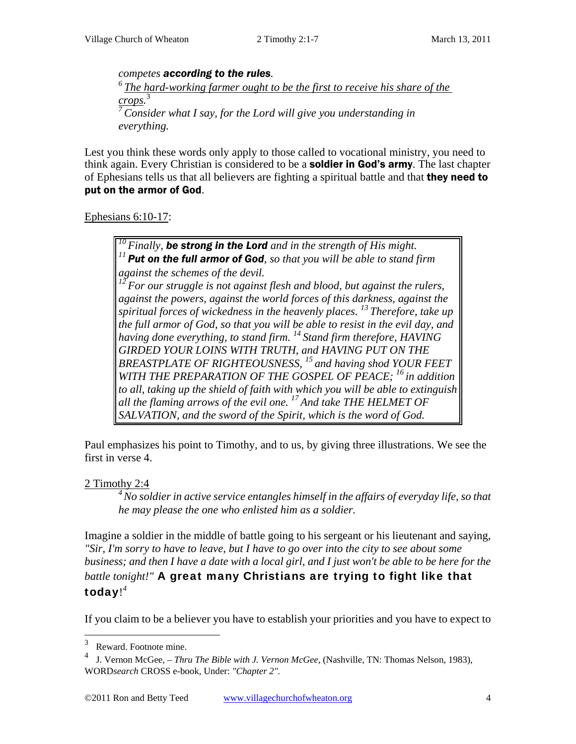*competes according to the rules. 6 The hard-working farmer ought to be the first to receive his share of the crops.* 3 *Consider what I say, for the Lord will give you understanding in everything.* 

Lest you think these words only apply to those called to vocational ministry, you need to think again. Every Christian is considered to be a **soldier in God's army**. The last chapter of Ephesians tells us that all believers are fighting a spiritual battle and that they need to put on the armor of God.

Ephesians 6:10-17:

*10 Finally, be strong in the Lord and in the strength of His might. <sup>11</sup>Put on the full armor of God, so that you will be able to stand firm against the schemes of the devil. 12 For our struggle is not against flesh and blood, but against the rulers, against the powers, against the world forces of this darkness, against the spiritual forces of wickedness in the heavenly places. 13 Therefore, take up the full armor of God, so that you will be able to resist in the evil day, and having done everything, to stand firm. 14 Stand firm therefore, HAVING GIRDED YOUR LOINS WITH TRUTH, and HAVING PUT ON THE BREASTPLATE OF RIGHTEOUSNESS, 15 and having shod YOUR FEET WITH THE PREPARATION OF THE GOSPEL OF PEACE; 16 in addition to all, taking up the shield of faith with which you will be able to extinguish all the flaming arrows of the evil one. 17 And take THE HELMET OF SALVATION, and the sword of the Spirit, which is the word of God.* 

Paul emphasizes his point to Timothy, and to us, by giving three illustrations. We see the first in verse 4.

2 Timothy 2:4

*4 No soldier in active service entangles himself in the affairs of everyday life, so that he may please the one who enlisted him as a soldier.* 

Imagine a soldier in the middle of battle going to his sergeant or his lieutenant and saying, *"Sir, I'm sorry to have to leave, but I have to go over into the city to see about some business; and then I have a date with a local girl, and I just won't be able to be here for the battle tonight!"* A great many Christians are trying to fight like that today! *4*

If you claim to be a believer you have to establish your priorities and you have to expect to

 3 Reward. Footnote mine.

<sup>4</sup> J. Vernon McGee, *– Thru The Bible with J. Vernon McGee*, (Nashville, TN: Thomas Nelson, 1983), WORD*search* CROSS e-book, Under: *"Chapter 2".*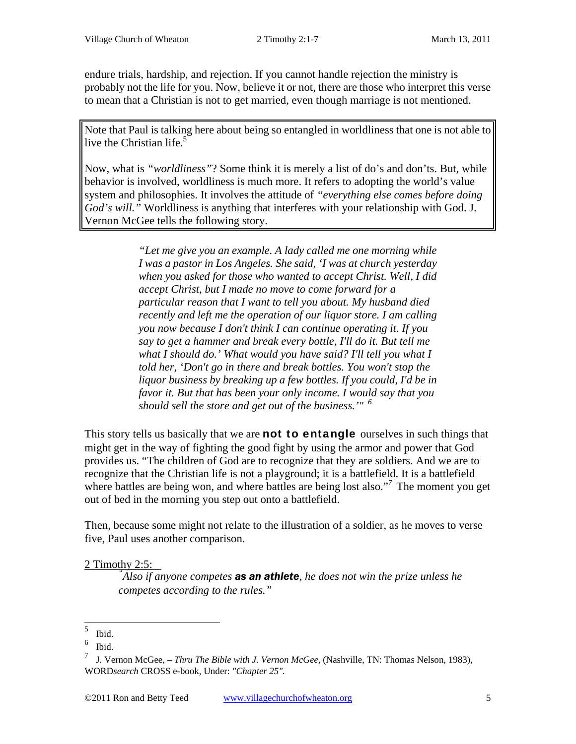endure trials, hardship, and rejection. If you cannot handle rejection the ministry is probably not the life for you. Now, believe it or not, there are those who interpret this verse to mean that a Christian is not to get married, even though marriage is not mentioned.

Note that Paul is talking here about being so entangled in worldliness that one is not able to live the Christian life. $5$ 

Now, what is *"worldliness"*? Some think it is merely a list of do's and don'ts. But, while behavior is involved, worldliness is much more. It refers to adopting the world's value system and philosophies. It involves the attitude of *"everything else comes before doing God's will."* Worldliness is anything that interferes with your relationship with God. J. Vernon McGee tells the following story.

> *"Let me give you an example. A lady called me one morning while I was a pastor in Los Angeles. She said, 'I was at church yesterday when you asked for those who wanted to accept Christ. Well, I did accept Christ, but I made no move to come forward for a particular reason that I want to tell you about. My husband died recently and left me the operation of our liquor store. I am calling you now because I don't think I can continue operating it. If you say to get a hammer and break every bottle, I'll do it. But tell me what I should do.' What would you have said? I'll tell you what I told her, 'Don't go in there and break bottles. You won't stop the liquor business by breaking up a few bottles. If you could, I'd be in favor it. But that has been your only income. I would say that you should sell the store and get out of the business.'" <sup>6</sup>*

This story tells us basically that we are **not to entangle** ourselves in such things that might get in the way of fighting the good fight by using the armor and power that God provides us. "The children of God are to recognize that they are soldiers. And we are to recognize that the Christian life is not a playground; it is a battlefield. It is a battlefield where battles are being won, and where battles are being lost also."<sup>7</sup> The moment you get out of bed in the morning you step out onto a battlefield.

Then, because some might not relate to the illustration of a soldier, as he moves to verse five, Paul uses another comparison.

### 2 Timothy 2:5: *"*

*Also if anyone competes as an athlete, he does not win the prize unless he competes according to the rules."* 

 5 Ibid.

<sup>6</sup> Ibid.

<sup>7</sup> J. Vernon McGee, *– Thru The Bible with J. Vernon McGee*, (Nashville, TN: Thomas Nelson, 1983), WORD*search* CROSS e-book, Under: *"Chapter 25".*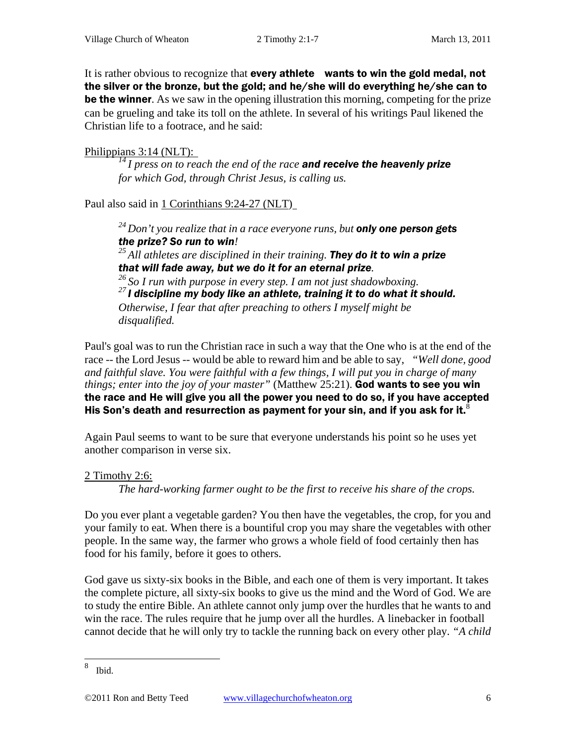It is rather obvious to recognize that every athlete wants to win the gold medal, not the silver or the bronze, but the gold; and he/she will do everything he/she can to be the winner. As we saw in the opening illustration this morning, competing for the prize can be grueling and take its toll on the athlete. In several of his writings Paul likened the Christian life to a footrace, and he said:

Philippians 3:14 (NLT): *14 I press on to reach the end of the race and receive the heavenly prize for which God, through Christ Jesus, is calling us.* 

Paul also said in 1 Corinthians 9:24-27 (NLT)

*24 Don't you realize that in a race everyone runs, but only one person gets the prize? So run to win! 25 All athletes are disciplined in their training. They do it to win a prize that will fade away, but we do it for an eternal prize. 26 So I run with purpose in every step. I am not just shadowboxing. 27 I discipline my body like an athlete, training it to do what it should. Otherwise, I fear that after preaching to others I myself might be disqualified.* 

Paul's goal was to run the Christian race in such a way that the One who is at the end of the race -- the Lord Jesus -- would be able to reward him and be able to say, *"Well done, good and faithful slave. You were faithful with a few things, I will put you in charge of many things; enter into the joy of your master"* (Matthew 25:21). God wants to see you win the race and He will give you all the power you need to do so, if you have accepted His Son's death and resurrection as payment for your sin, and if you ask for it. $^8$ 

Again Paul seems to want to be sure that everyone understands his point so he uses yet another comparison in verse six.

### 2 Timothy 2:6:

*The hard-working farmer ought to be the first to receive his share of the crops.* 

Do you ever plant a vegetable garden? You then have the vegetables, the crop, for you and your family to eat. When there is a bountiful crop you may share the vegetables with other people. In the same way, the farmer who grows a whole field of food certainly then has food for his family, before it goes to others.

God gave us sixty-six books in the Bible, and each one of them is very important. It takes the complete picture, all sixty-six books to give us the mind and the Word of God. We are to study the entire Bible. An athlete cannot only jump over the hurdles that he wants to and win the race. The rules require that he jump over all the hurdles. A linebacker in football cannot decide that he will only try to tackle the running back on every other play. *"A child* 

 8 Ibid.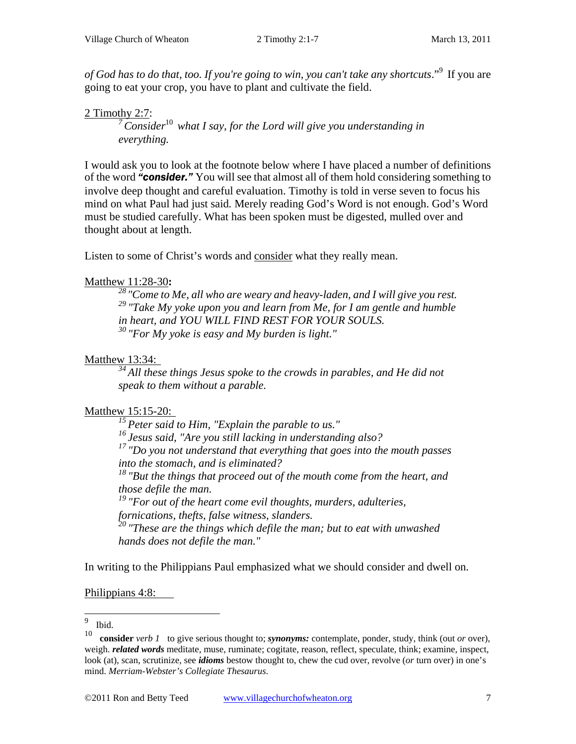*of God has to do that, too. If you're going to win, you can't take any shortcuts*."9 If you are going to eat your crop, you have to plant and cultivate the field.

2 Timothy 2:7:*7 Consider*<sup>10</sup> *what I say, for the Lord will give you understanding in everything.* 

I would ask you to look at the footnote below where I have placed a number of definitions of the word *"consider."* You will see that almost all of them hold considering something to involve deep thought and careful evaluation. Timothy is told in verse seven to focus his mind on what Paul had just said*.* Merely reading God's Word is not enough. God's Word must be studied carefully. What has been spoken must be digested, mulled over and thought about at length.

Listen to some of Christ's words and consider what they really mean.

### Matthew 11:28-30**:**

<sup>28</sup> "Come to Me, all who are weary and heavy-laden, and I will give you rest. *29 "Take My yoke upon you and learn from Me, for I am gentle and humble in heart, and YOU WILL FIND REST FOR YOUR SOULS. 30 "For My yoke is easy and My burden is light."* 

#### Matthew 13:34:

*34 All these things Jesus spoke to the crowds in parables, and He did not speak to them without a parable.* 

### Matthew 15:15-20:

*15 Peter said to Him, "Explain the parable to us."* 

*16 Jesus said, "Are you still lacking in understanding also?* 

*17 "Do you not understand that everything that goes into the mouth passes into the stomach, and is eliminated?* 

*18 "But the things that proceed out of the mouth come from the heart, and those defile the man.* 

*19 "For out of the heart come evil thoughts, murders, adulteries, fornications, thefts, false witness, slanders.* 

*20 "These are the things which defile the man; but to eat with unwashed hands does not defile the man."* 

In writing to the Philippians Paul emphasized what we should consider and dwell on.

Philippians 4:8:

 9  $\frac{9}{10}$  Ibid.

<sup>10</sup> **consider** *verb 1* to give serious thought to; *synonyms:* contemplate, ponder, study, think (out *or* over), weigh. *related words* meditate, muse, ruminate; cogitate, reason, reflect, speculate, think; examine, inspect, look (at), scan, scrutinize, see *idioms* bestow thought to, chew the cud over, revolve (*or* turn over) in one's mind. *Merriam-Webster's Collegiate Thesaurus*.